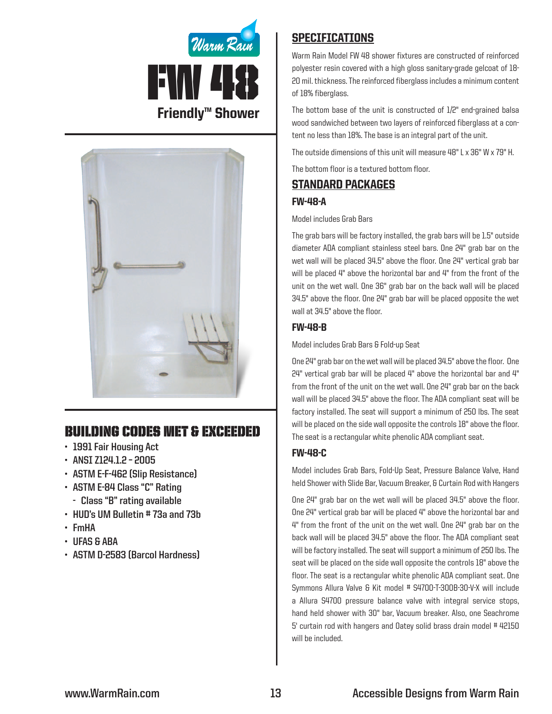



# Building Codes Met & EXCEEDED

- **• 1991 Fair Housing Act**
- **• ANSI Z124.1.2 – 2005**
- **• ASTM E-F-462 (Slip Resistance)**
- **• ASTM E-84 Class "C" Rating**
	- **- Class "B" rating available**
- **• HUD's UM Bulletin # 73a and 73b**
- **• FmHA**
- **• UFAS & ABA**
- **• ASTM D-2583 (Barcol Hardness)**

# **SPECIFICATIONS**

Warm Rain Model FW 48 shower fixtures are constructed of reinforced polyester resin covered with a high gloss sanitary-grade gelcoat of 18- 20 mil. thickness. The reinforced fiberglass includes a minimum content of 18% fiberglass.

The bottom base of the unit is constructed of 1/2" end-grained balsa wood sandwiched between two layers of reinforced fiberglass at a content no less than 18%. The base is an integral part of the unit.

The outside dimensions of this unit will measure 48" L x 36" W x 79" H.

The bottom floor is a textured bottom floor.

# Standard packages

## FW-48-A

### Model includes Grab Bars

The grab bars will be factory installed, the grab bars will be 1.5" outside diameter ADA compliant stainless steel bars. One 24" grab bar on the wet wall will be placed 34.5" above the floor. One 24" vertical grab bar will be placed 4" above the horizontal bar and 4" from the front of the unit on the wet wall. One 36" grab bar on the back wall will be placed 34.5" above the floor. One 24" grab bar will be placed opposite the wet wall at 34.5" above the floor.

# FW-48-B

Model includes Grab Bars & Fold-up Seat

One 24" grab bar on the wet wall will be placed 34.5" above the floor. One  $24"$  vertical grab bar will be placed  $4"$  above the horizontal bar and  $4"$ from the front of the unit on the wet wall. One 24" grab bar on the back wall will be placed 34.5" above the floor. The ADA compliant seat will be factory installed. The seat will support a minimum of 250 lbs. The seat will be placed on the side wall opposite the controls 18" above the floor. The seat is a rectangular white phenolic ADA compliant seat.

# FW-48-C

Model includes Grab Bars, Fold-Up Seat, Pressure Balance Valve, Hand held Shower with Slide Bar, Vacuum Breaker, & Curtain Rod with Hangers

One 24" grab bar on the wet wall will be placed 34.5" above the floor. One 24" vertical grab bar will be placed 4" above the horizontal bar and 4" from the front of the unit on the wet wall. One 24" grab bar on the back wall will be placed 34.5" above the floor. The ADA compliant seat will be factory installed. The seat will support a minimum of 250 lbs. The seat will be placed on the side wall opposite the controls 18" above the floor. The seat is a rectangular white phenolic ADA compliant seat. One Symmons Allura Valve & Kit model # S4700-T-300B-30-V-X will include a Allura S4700 pressure balance valve with integral service stops, hand held shower with 30" bar, Vacuum breaker. Also, one Seachrome 5' curtain rod with hangers and Oatey solid brass drain model #42150 will be included.